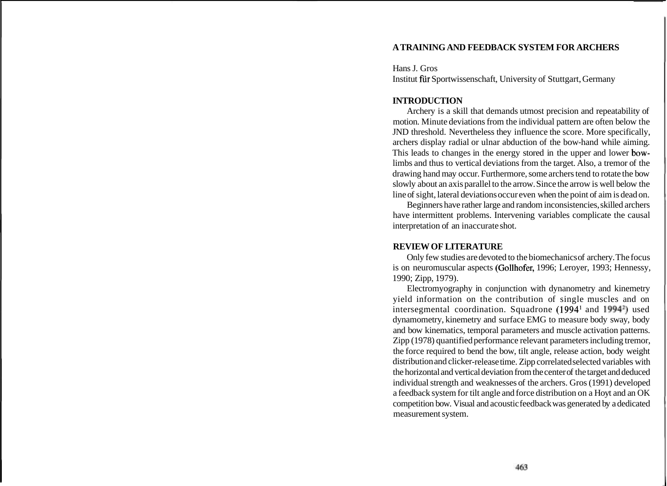## **A TRAINING AND FEEDBACK SYSTEM FOR ARCHERS**

Hans J. Gros Institut fiir Sportwissenschaft, University of Stuttgart, Germany

### **INTRODUCTION**

Archery is a skill that demands utmost precision and repeatability of motion. Minute deviations from the individual pattern are often below the JND threshold. Nevertheless they influence the score. More specifically, archers display radial or ulnar abduction of the bow-hand while aiming. This leads to changes in the energy stored in the upper and lower bowlimbs and thus to vertical deviations from the target. Also, a tremor of the drawing hand may occur. Furthermore, some archers tend to rotate the bow slowly about an axis parallel to the arrow. Since the arrow is well below the line of sight, lateral deviations occur even when the point of aim is dead on.

Beginners have rather large and random inconsistencies, skilled archers have intermittent problems. Intervening variables complicate the causal interpretation of an inaccurate shot.

# **REVIEW OF LITERATURE**

Only few studies are devoted to the biomechanics of archery. The focus is on neuromuscular aspects (Gollhofer, 1996; Leroyer, 1993; Hennessy, 1990; Zipp, 1979).

Electromyography in conjunction with dynanometry and kinemetry yield information on the contribution of single muscles and on intersegmental coordination. Squadrone (1994<sup>1</sup> and 1994<sup>2</sup>) used dynamometry, kinemetry and surface EMG to measure body sway, body and bow kinematics, temporal parameters and muscle activation patterns. Zipp (1978) quantified performance relevant parameters including tremor, the force required to bend the bow, tilt angle, release action, body weight distribution and clicker-release time. Zipp correlated selected variables with the horizontal and vertical deviation from the center of the target and deduced individual strength and weaknesses of the archers. Gros (1991) developed a feedback system for tilt angle and force distribution on a Hoyt and an OK competition bow. Visual and acoustic feedback was generated by a dedicated measurement system.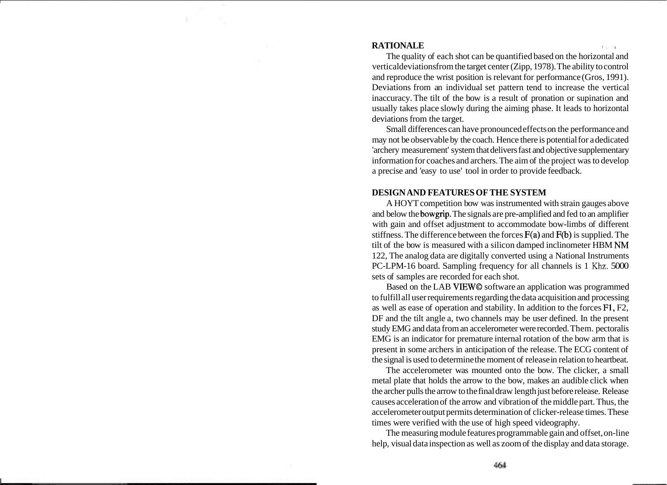### **RATIONALE**

The quality of each shot can be quantified based on the horizontal and verticaldeviations from the target center (Zipp, 1978). The ability to control and reproduce the wrist position is relevant for performance (Gros, 1991). Deviations from an individual set pattern tend to increase the vertical inaccuracy. The tilt of the bow is a result of pronation or supination and usually takes place slowly during the aiming phase. It leads to horizontal deviations from the target.

Small differences can have pronounced effects on the performance and may not be observable by the coach. Hence there is potential for a dedicated 'archery measurement' system that delivers fast and objective supplementary information for coaches and archers. The aim of the project was to develop a precise and 'easy to use' tool in order to provide feedback.

### **DESIGN AND FEATURES OF THE SYSTEM**

A HOYT competition bow was instrumented with strain gauges above and below the bowgrip. The signals are pre-amplified and fed to an amplifier with gain and offset adjustment to accommodate bow-limbs of different stiffness. The difference between the forces  $F(a)$  and  $F(b)$  is supplied. The tilt of the bow is measured with a silicon damped inclinometer HBM **NM**  122, The analog data are digitally converted using a National Instruments PC-LPM-16 board. Sampling frequency for all channels is 1 Khz. 5000 sets of samples are recorded for each shot.

Based on the LAB VIEW@ software an application was programmed to fulfill all user requirements regarding the data acquisition and processing as well as ease of operation and stability. In addition to the forces F1, F2, DF and the tilt angle a, two channels may be user defined. In the present study EMG and data from an accelerometer were recorded. Them. pectoralis EMG is an indicator for premature internal rotation of the bow arm that is present in some archers in anticipation of the release. The ECG content of the signal is used to determine the moment of release in relation to heartbeat.

The accelerometer was mounted onto the bow. The clicker, a small metal plate that holds the arrow to the bow, makes an audible click when the archer pulls the arrow to the final draw length just before release. Release causes acceleration of the arrow and vibration of the middle part. Thus, the accelerometer output permits determination of clicker-release times. These times were verified with the use of high speed videography.

The measuring module features programmable gain and offset, on-line help, visual data inspection as well as zoom of the display and data storage.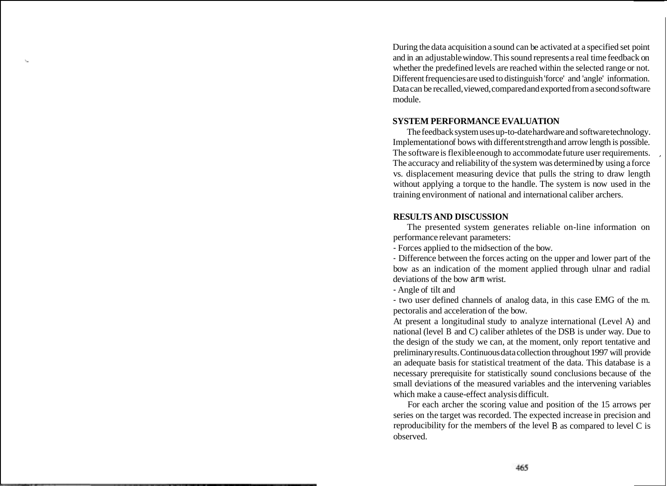During the data acquisition a sound can be activated at a specified set point and in an adjustable window. This sound represents a real time feedback on whether the predefined levels are reached within the selected range or not. Different frequencies are used to distinguish 'force' and 'angle' information. Data can be recalled, viewed, compared and exported from a second software module.

## **SYSTEM PERFORMANCE EVALUATION**

The feedback system uses up-to-date hardware and software technology. Implementation of bows with different strength and arrow length is possible. The software is flexible enough to accommodate future user requirements. The accuracy and reliability of the system was determined by using a force ' vs. displacement measuring device that pulls the string to draw length without applying a torque to the handle. The system is now used in the training environment of national and international caliber archers.

## **RESULTS AND DISCUSSION**

The presented system generates reliable on-line information on performance relevant parameters:

- Forces applied to the midsection of the bow.

- Difference between the forces acting on the upper and lower part of the bow as an indication of the moment applied through ulnar and radial deviations of the bow arm wrist.

- Angle of tilt and

- two user defined channels of analog data, in this case EMG of the m. pectoralis and acceleration of the bow.

At present a longitudinal study to analyze international (Level A) and national (level B and C) caliber athletes of the DSB is under way. Due to the design of the study we can, at the moment, only report tentative and preliminary results. Continuous data collection throughout 1997 will provide an adequate basis for statistical treatment of the data. This database is a necessary prerequisite for statistically sound conclusions because of the small deviations of the measured variables and the intervening variables which make a cause-effect analysis difficult.

For each archer the scoring value and position of the 15 arrows per series on the target was recorded. The expected increase in precision and reproducibility for the members of the level **B** as compared to level C is observed.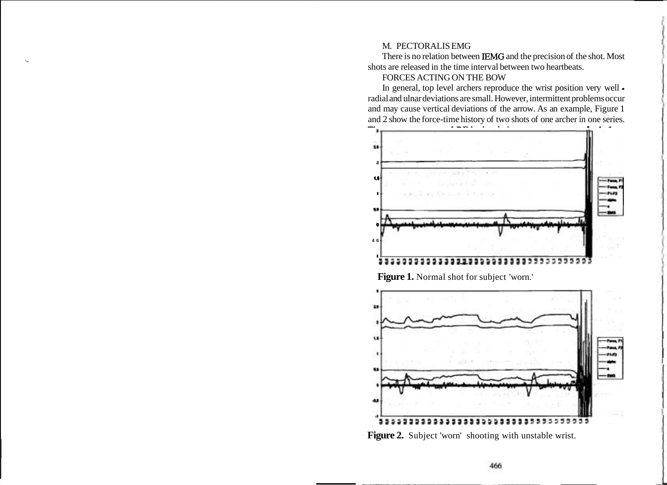#### M. PECTORALIS EMG

There is no relation between IEMG and the precision of the shot. Most \ shots are released in the time interval between two heartbeats.

### FORCES ACTING ON THE BOW

In general, top level archers reproduce the wrist position very well radial and ulnar deviations are small. However, intermittent problems occur and may cause vertical deviations of the arrow. As an example, Figure 1 and 2 show the force-time history of two shots of one archer in one series.



**Figure 1.** Normal shot for subject 'worn.'



Figure 2. Subject 'worn' shooting with unstable wrist.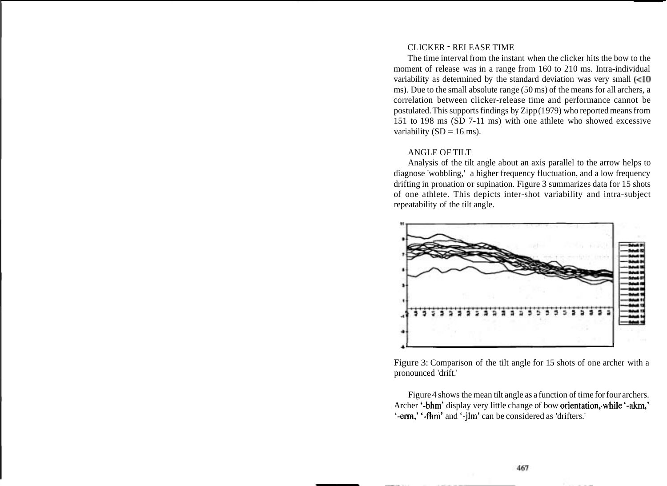#### CLICKER - RELEASE TIME

The time interval from the instant when the clicker hits the bow to the moment of release was in a range from 160 to 210 ms. Intra-individual variability as determined by the standard deviation was very small  $\leq 10$ ms). Due to the small absolute range (50 ms) of the means for all archers, a correlation between clicker-release time and performance cannot be postulated. This supports findings by Zipp (1979) who reported means from 151 to 198 ms (SD 7-11 ms) with one athlete who showed excessive variability  $(SD = 16 \text{ ms})$ .

#### ANGLE OF TILT

Analysis of the tilt angle about an axis parallel to the arrow helps to diagnose 'wobbling,' a higher frequency fluctuation, and a low frequency drifting in pronation or supination. Figure 3 summarizes data for 15 shots of one athlete. This depicts inter-shot variability and intra-subject repeatability of the tilt angle.



Figure 3: Comparison of the tilt angle for 15 shots of one archer with a pronounced 'drift.'

Figure 4 shows the mean tilt angle as a function of time for four archers. Archer '-bhm' display very little change of bow orientation, while '-akm,' '-em,' '-fhm' and '-jlm' can be considered as 'drifters.'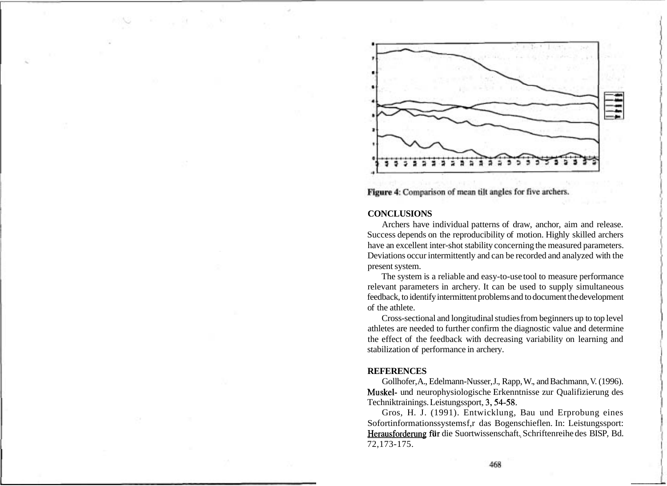

Figure 4: Comparison of mean tilt angles for five archers.

#### **CONCLUSIONS**

Archers have individual patterns of draw, anchor, aim and release. Success depends on the reproducibility of motion. Highly skilled archers have an excellent inter-shot stability concerning the measured parameters. Deviations occur intermittently and can be recorded and analyzed with the present system.

The system is a reliable and easy-to-use tool to measure performance relevant parameters in archery. It can be used to supply simultaneous feedback, to identify intermittent problems and to document the development of the athlete.

Cross-sectional and longitudinal studies from beginners up to top level athletes are needed to further confirm the diagnostic value and determine the effect of the feedback with decreasing variability on learning and stabilization of performance in archery.

#### **REFERENCES**

Gollhofer, A., Edelmann-Nusser, J., Rapp, W., and Bachmann, V. (1996). Muskel- und neurophysiologische Erkenntnisse zur Qualifizierung des Techniktrainings. Leistungssport, 3,54-58.

Gros, H. J. (1991). Entwicklung, Bau und Erprobung eines Sofortinformationssystems f,r das Bogenschieflen. In: Leistungssport: Herausforderung für die Suortwissenschaft. Schriftenreihe des BISP, Bd. 72,173-175.